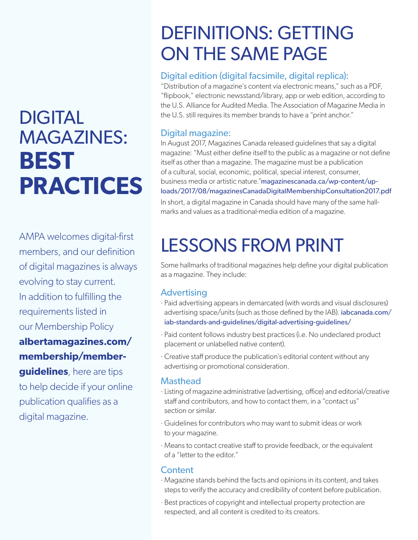# **DIGITAL** MAGAZINES: **BEST PRACTICES**

AMPA welcomes digital-first members, and our definition of digital magazines is always evolving to stay current. In addition to fulfilling the requirements listed in our Membership Policy

**[albertamagazines.com/](https://albertamagazines.com/membership/member-guidelines/) membership/member-**

**guidelines**, here are tips to help decide if your online publication qualifies as a digital magazine.

## DEFINITIONS: GETTING ON THE SAME PAGE

#### Digital edition (digital facsimile, digital replica):

"Distribution of a magazine's content via electronic means," such as a PDF, "flipbook," electronic newsstand/library, app or web edition, according to the U.S. Alliance for Audited Media. The Association of Magazine Media in the U.S. still requires its member brands to have a "print anchor."

#### Digital magazine:

In August 2017, Magazines Canada released guidelines that say a digital magazine: "Must either define itself to the public as a magazine or not define itself as other than a magazine. The magazine must be a publication of a cultural, social, economic, political, special interest, consumer, business media or artistic nature."[magazinescanada.ca/wp-content/up](https://magazinescanada.ca/wp-content/uploads/2017/08/magazinesCanadaDigitalMembershipConsultation2017.pdf)[loads/2017/08/magazinesCanadaDigitalMembershipConsultation2017.pdf](https://magazinescanada.ca/wp-content/uploads/2017/08/magazinesCanadaDigitalMembershipConsultation2017.pdf)

In short, a digital magazine in Canada should have many of the same hallmarks and values as a traditional-media edition of a magazine.

## LESSONS FROM PRINT

Some hallmarks of traditional magazines help define your digital publication as a magazine. They include:

#### Advertising

- · Paid advertising appears in demarcated (with words and visual disclosures) advertising space/units (such as those defined by the IAB). [iabcanada.com/](https://iabcanada.com/iab-standards-and-guidelines/digital-advertising-guidelines/) [iab-standards-and-guidelines/digital-advertising-guidelines/](https://iabcanada.com/iab-standards-and-guidelines/digital-advertising-guidelines/)
- · Paid content follows industry best practices (i.e. No undeclared product placement or unlabelled native content).
- · Creative staff produce the publication's editorial content without any advertising or promotional consideration.

#### **Masthead**

- · Listing of magazine administrative (advertising, office) and editorial/creative staff and contributors, and how to contact them, in a "contact us" section or similar.
- · Guidelines for contributors who may want to submit ideas or work to your magazine.
- · Means to contact creative staff to provide feedback, or the equivalent of a "letter to the editor."

#### **Content**

- · Magazine stands behind the facts and opinions in its content, and takes steps to verify the accuracy and credibility of content before publication.
- · Best practices of copyright and intellectual property protection are respected, and all content is credited to its creators.